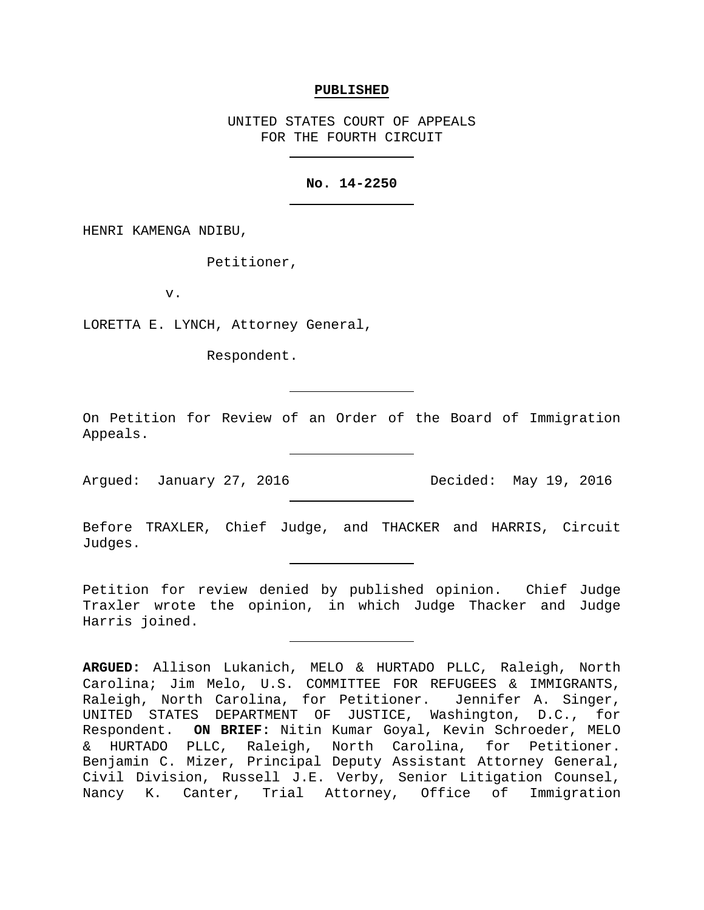#### **PUBLISHED**

UNITED STATES COURT OF APPEALS FOR THE FOURTH CIRCUIT

# **No. 14-2250**

HENRI KAMENGA NDIBU,

Petitioner,

v.

LORETTA E. LYNCH, Attorney General,

Respondent.

On Petition for Review of an Order of the Board of Immigration Appeals.

Argued: January 27, 2016 Decided: May 19, 2016

Before TRAXLER, Chief Judge, and THACKER and HARRIS, Circuit Judges.

Petition for review denied by published opinion. Chief Judge Traxler wrote the opinion, in which Judge Thacker and Judge Harris joined.

**ARGUED:** Allison Lukanich, MELO & HURTADO PLLC, Raleigh, North Carolina; Jim Melo, U.S. COMMITTEE FOR REFUGEES & IMMIGRANTS, Raleigh, North Carolina, for Petitioner. Jennifer A. Singer, UNITED STATES DEPARTMENT OF JUSTICE, Washington, D.C., for Respondent. **ON BRIEF:** Nitin Kumar Goyal, Kevin Schroeder, MELO & HURTADO PLLC, Raleigh, North Carolina, for Petitioner. Benjamin C. Mizer, Principal Deputy Assistant Attorney General, Civil Division, Russell J.E. Verby, Senior Litigation Counsel, Nancy K. Canter, Trial Attorney, Office of Immigration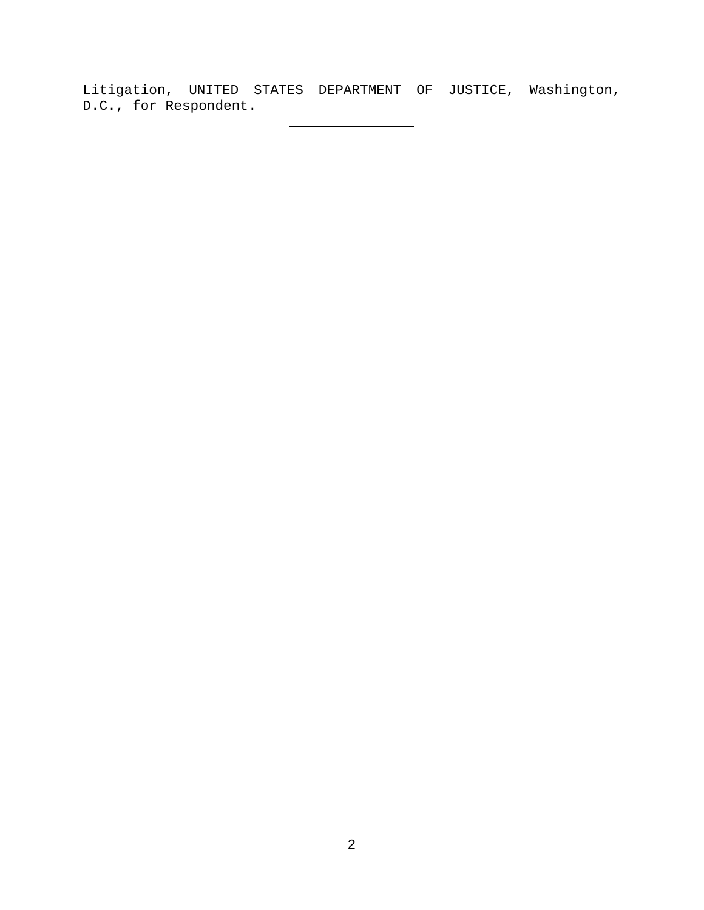Litigation, UNITED STATES DEPARTMENT OF JUSTICE, Washington, D.C., for Respondent.

 $\overline{\phantom{0}}$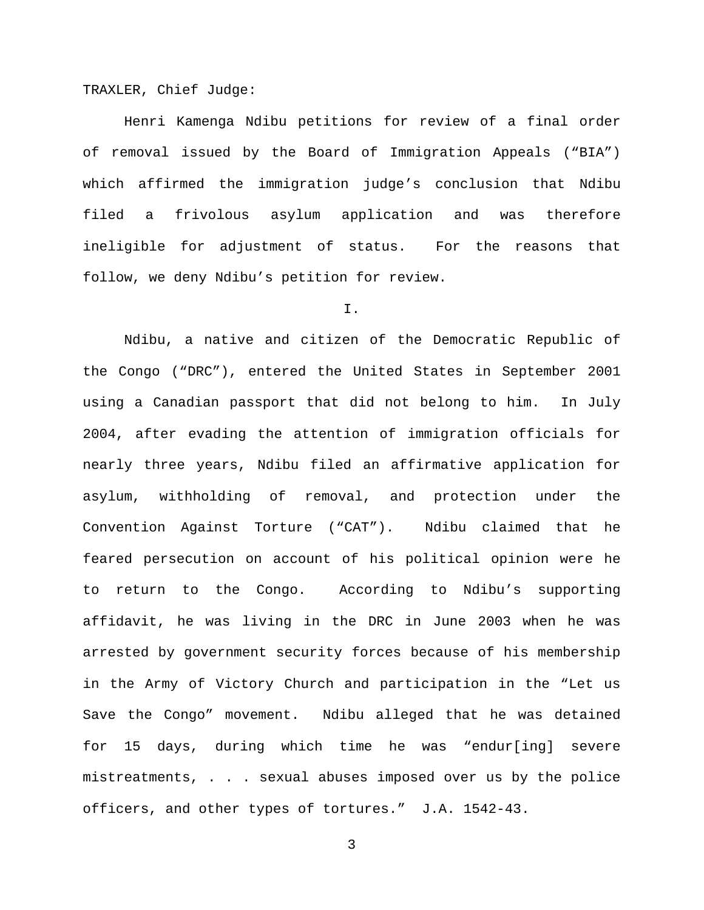TRAXLER, Chief Judge:

Henri Kamenga Ndibu petitions for review of a final order of removal issued by the Board of Immigration Appeals ("BIA") which affirmed the immigration judge's conclusion that Ndibu filed a frivolous asylum application and was therefore ineligible for adjustment of status. For the reasons that follow, we deny Ndibu's petition for review.

## I.

Ndibu, a native and citizen of the Democratic Republic of the Congo ("DRC"), entered the United States in September 2001 using a Canadian passport that did not belong to him. In July 2004, after evading the attention of immigration officials for nearly three years, Ndibu filed an affirmative application for asylum, withholding of removal, and protection under the Convention Against Torture ("CAT"). Ndibu claimed that he feared persecution on account of his political opinion were he to return to the Congo. According to Ndibu's supporting affidavit, he was living in the DRC in June 2003 when he was arrested by government security forces because of his membership in the Army of Victory Church and participation in the "Let us Save the Congo" movement. Ndibu alleged that he was detained for 15 days, during which time he was "endur[ing] severe mistreatments, . . . sexual abuses imposed over us by the police officers, and other types of tortures." J.A. 1542-43.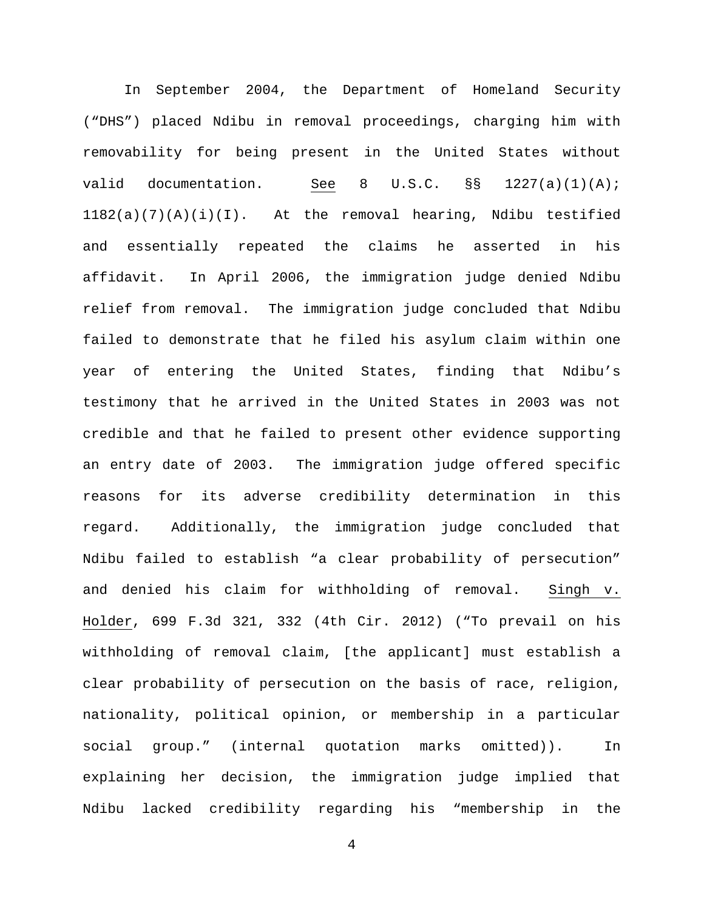In September 2004, the Department of Homeland Security ("DHS") placed Ndibu in removal proceedings, charging him with removability for being present in the United States without valid documentation. See 8 U.S.C. §§ 1227(a)(1)(A);  $1182(a)(7)(A)(i)(I)$ . At the removal hearing, Ndibu testified and essentially repeated the claims he asserted in his affidavit. In April 2006, the immigration judge denied Ndibu relief from removal. The immigration judge concluded that Ndibu failed to demonstrate that he filed his asylum claim within one year of entering the United States, finding that Ndibu's testimony that he arrived in the United States in 2003 was not credible and that he failed to present other evidence supporting an entry date of 2003. The immigration judge offered specific reasons for its adverse credibility determination in this regard. Additionally, the immigration judge concluded that Ndibu failed to establish "a clear probability of persecution" and denied his claim for withholding of removal. Singh v. Holder, 699 F.3d 321, 332 (4th Cir. 2012) ("To prevail on his withholding of removal claim, [the applicant] must establish a clear probability of persecution on the basis of race, religion, nationality, political opinion, or membership in a particular social group." (internal quotation marks omitted)). In explaining her decision, the immigration judge implied that Ndibu lacked credibility regarding his "membership in the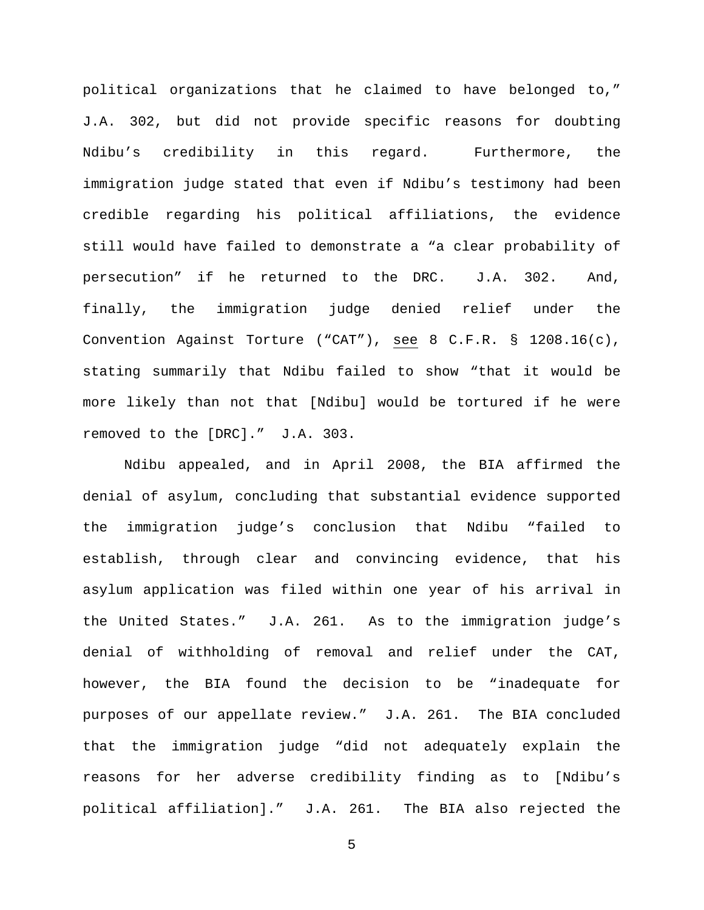political organizations that he claimed to have belonged to," J.A. 302, but did not provide specific reasons for doubting Ndibu's credibility in this regard. Furthermore, the immigration judge stated that even if Ndibu's testimony had been credible regarding his political affiliations, the evidence still would have failed to demonstrate a "a clear probability of persecution" if he returned to the DRC. J.A. 302. And, finally, the immigration judge denied relief under the Convention Against Torture ("CAT"), see 8 C.F.R. § 1208.16(c), stating summarily that Ndibu failed to show "that it would be more likely than not that [Ndibu] would be tortured if he were removed to the [DRC]." J.A. 303.

Ndibu appealed, and in April 2008, the BIA affirmed the denial of asylum, concluding that substantial evidence supported the immigration judge's conclusion that Ndibu "failed to establish, through clear and convincing evidence, that his asylum application was filed within one year of his arrival in the United States." J.A. 261. As to the immigration judge's denial of withholding of removal and relief under the CAT, however, the BIA found the decision to be "inadequate for purposes of our appellate review." J.A. 261. The BIA concluded that the immigration judge "did not adequately explain the reasons for her adverse credibility finding as to [Ndibu's political affiliation]." J.A. 261. The BIA also rejected the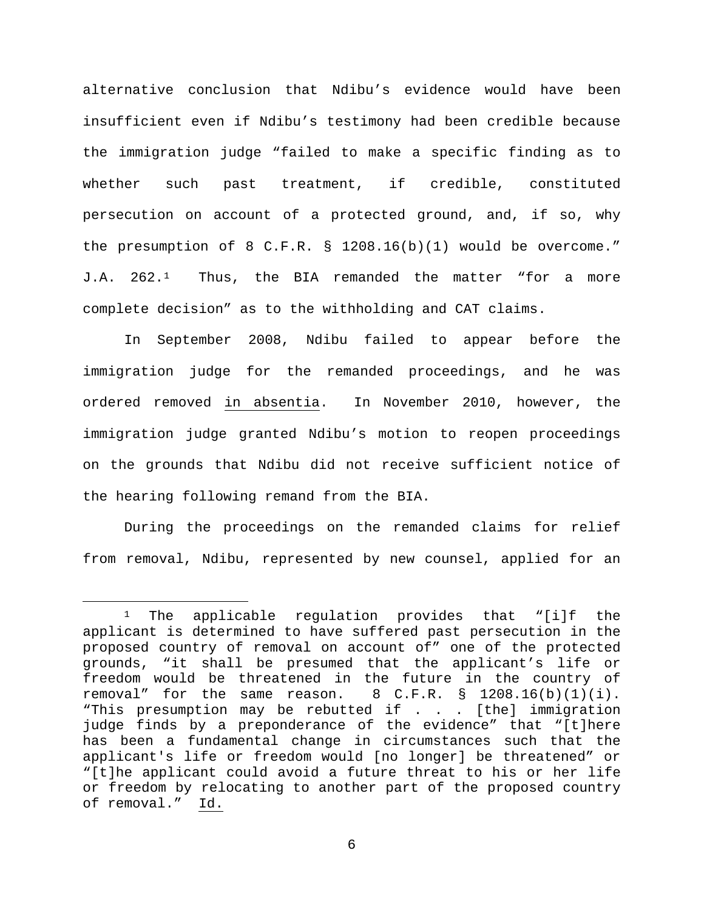alternative conclusion that Ndibu's evidence would have been insufficient even if Ndibu's testimony had been credible because the immigration judge "failed to make a specific finding as to whether such past treatment, if credible, constituted persecution on account of a protected ground, and, if so, why the presumption of 8 C.F.R. § 1208.16(b)(1) would be overcome." J.A. 262.[1](#page-5-0) Thus, the BIA remanded the matter "for a more complete decision" as to the withholding and CAT claims.

In September 2008, Ndibu failed to appear before the immigration judge for the remanded proceedings, and he was ordered removed in absentia. In November 2010, however, the immigration judge granted Ndibu's motion to reopen proceedings on the grounds that Ndibu did not receive sufficient notice of the hearing following remand from the BIA.

During the proceedings on the remanded claims for relief from removal, Ndibu, represented by new counsel, applied for an

<span id="page-5-0"></span><sup>&</sup>lt;sup>1</sup> The applicable regulation provides that "[i]f the applicant is determined to have suffered past persecution in the proposed country of removal on account of" one of the protected grounds, "it shall be presumed that the applicant's life or freedom would be threatened in the future in the country of removal" for the same reason.  $8 \, \text{C.F.R.} \, \text{S} \, 1208.16(b)(1)(i)$ . 8 C.F.R. § 1208.16(b)(1)(i). "This presumption may be rebutted if . . . [the] immigration judge finds by a preponderance of the evidence" that "[t]here has been a fundamental change in circumstances such that the applicant's life or freedom would [no longer] be threatened" or "[t]he applicant could avoid a future threat to his or her life or freedom by relocating to another part of the proposed country of removal." Id.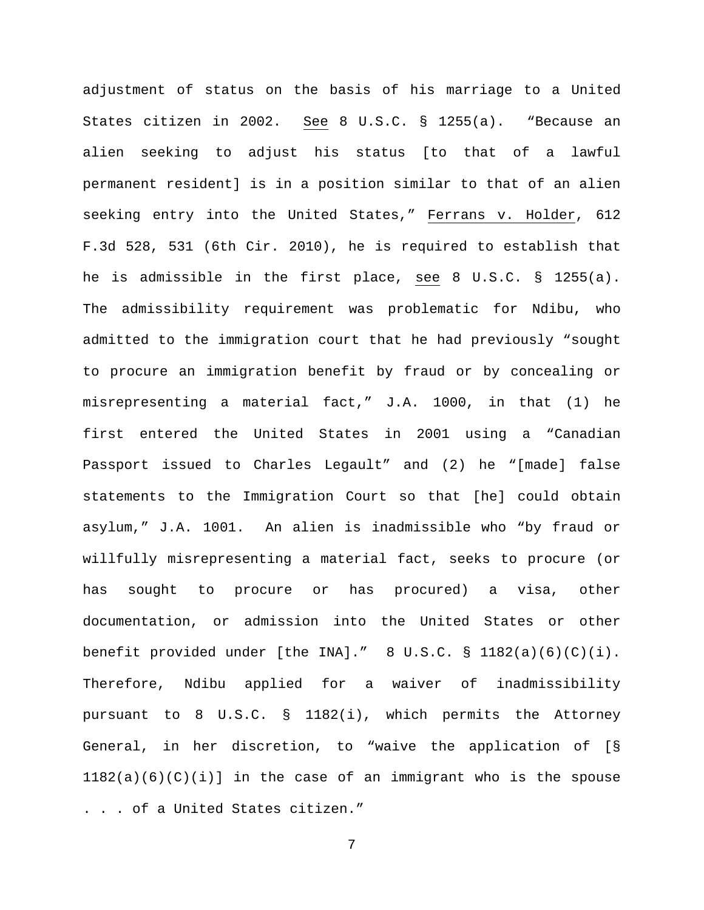adjustment of status on the basis of his marriage to a United States citizen in 2002. See 8 U.S.C. § 1255(a). "Because an alien seeking to adjust his status [to that of a lawful permanent resident] is in a position similar to that of an alien seeking entry into the United States," Ferrans v. Holder, 612 F.3d 528, 531 (6th Cir. 2010), he is required to establish that he is admissible in the first place, see 8 U.S.C. § 1255(a). The admissibility requirement was problematic for Ndibu, who admitted to the immigration court that he had previously "sought to procure an immigration benefit by fraud or by concealing or misrepresenting a material fact," J.A. 1000, in that (1) he first entered the United States in 2001 using a "Canadian Passport issued to Charles Legault" and (2) he "[made] false statements to the Immigration Court so that [he] could obtain asylum," J.A. 1001. An alien is inadmissible who "by fraud or willfully misrepresenting a material fact, seeks to procure (or has sought to procure or has procured) a visa, other documentation, or admission into the United States or other benefit provided under [the INA]."  $8 \text{ U.S.C.} \text{ s } 1182(a)(6)(c)(i)$ . Therefore, Ndibu applied for a waiver of inadmissibility pursuant to 8 U.S.C. § 1182(i), which permits the Attorney General, in her discretion, to "waive the application of [§  $1182(a)(6)(C)(i)$  in the case of an immigrant who is the spouse . . . of a United States citizen."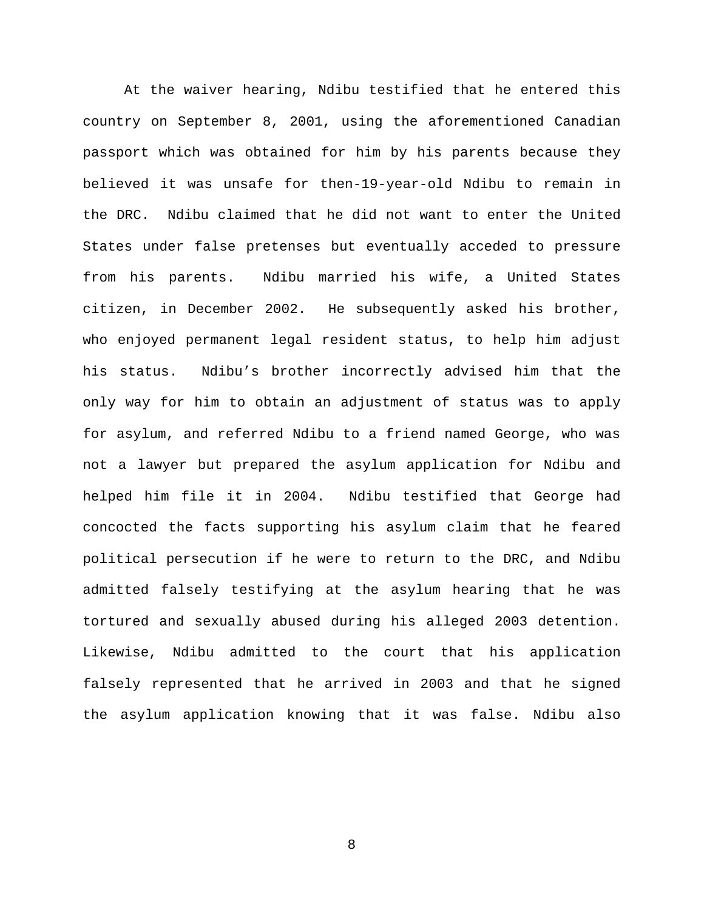At the waiver hearing, Ndibu testified that he entered this country on September 8, 2001, using the aforementioned Canadian passport which was obtained for him by his parents because they believed it was unsafe for then-19-year-old Ndibu to remain in the DRC. Ndibu claimed that he did not want to enter the United States under false pretenses but eventually acceded to pressure from his parents. Ndibu married his wife, a United States citizen, in December 2002. He subsequently asked his brother, who enjoyed permanent legal resident status, to help him adjust his status. Ndibu's brother incorrectly advised him that the only way for him to obtain an adjustment of status was to apply for asylum, and referred Ndibu to a friend named George, who was not a lawyer but prepared the asylum application for Ndibu and helped him file it in 2004. Ndibu testified that George had concocted the facts supporting his asylum claim that he feared political persecution if he were to return to the DRC, and Ndibu admitted falsely testifying at the asylum hearing that he was tortured and sexually abused during his alleged 2003 detention. Likewise, Ndibu admitted to the court that his application falsely represented that he arrived in 2003 and that he signed the asylum application knowing that it was false. Ndibu also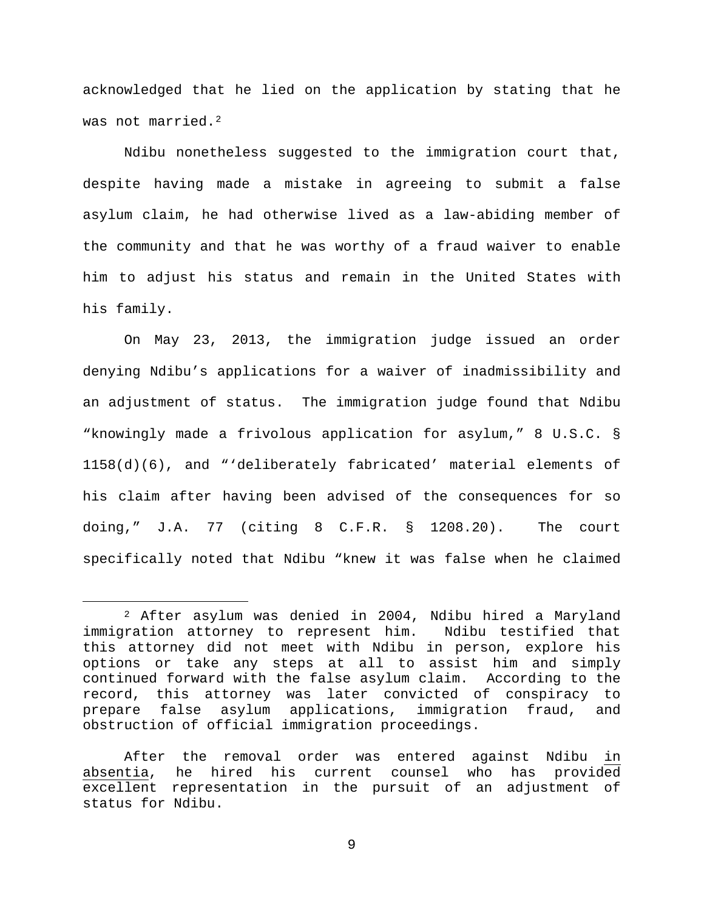acknowledged that he lied on the application by stating that he was not married.<sup>2</sup>

Ndibu nonetheless suggested to the immigration court that, despite having made a mistake in agreeing to submit a false asylum claim, he had otherwise lived as a law-abiding member of the community and that he was worthy of a fraud waiver to enable him to adjust his status and remain in the United States with his family.

On May 23, 2013, the immigration judge issued an order denying Ndibu's applications for a waiver of inadmissibility and an adjustment of status. The immigration judge found that Ndibu "knowingly made a frivolous application for asylum," 8 U.S.C. § 1158(d)(6), and "'deliberately fabricated' material elements of his claim after having been advised of the consequences for so doing," J.A. 77 (citing 8 C.F.R. § 1208.20). The court specifically noted that Ndibu "knew it was false when he claimed

<span id="page-8-0"></span> <sup>2</sup> After asylum was denied in 2004, Ndibu hired a Maryland immigration attorney to represent him. Ndibu testified that this attorney did not meet with Ndibu in person, explore his options or take any steps at all to assist him and simply continued forward with the false asylum claim. According to the record, this attorney was later convicted of conspiracy to prepare false asylum applications, immigration fraud, and obstruction of official immigration proceedings.

After the removal order was entered against Ndibu in absentia, he hired his current counsel who has provided excellent representation in the pursuit of an adjustment of status for Ndibu.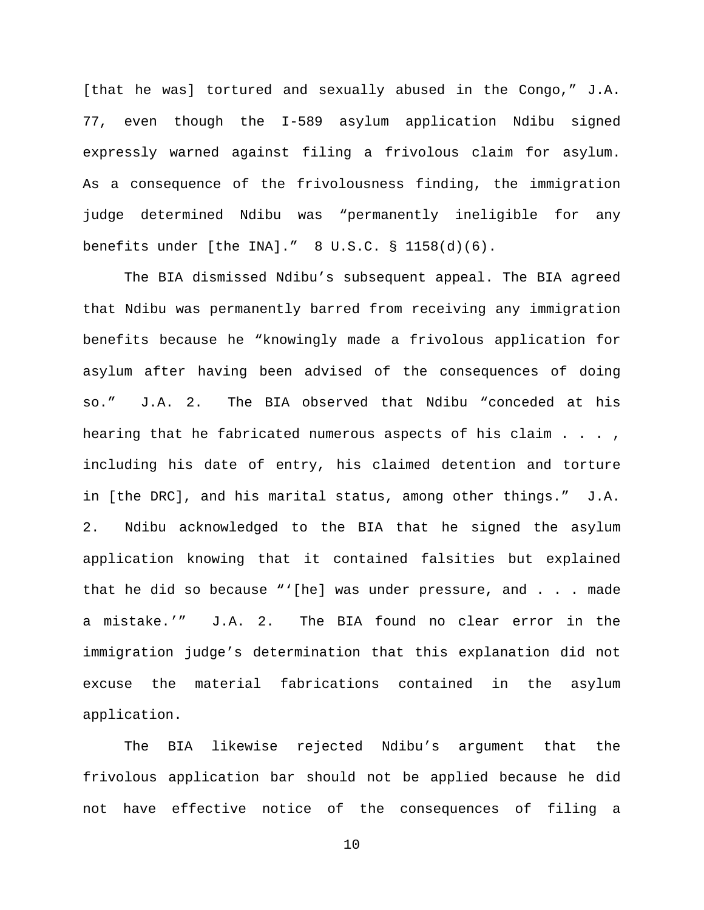[that he was] tortured and sexually abused in the Congo," J.A. 77, even though the I-589 asylum application Ndibu signed expressly warned against filing a frivolous claim for asylum. As a consequence of the frivolousness finding, the immigration judge determined Ndibu was "permanently ineligible for any benefits under [the INA]." 8 U.S.C. § 1158(d)(6).

The BIA dismissed Ndibu's subsequent appeal. The BIA agreed that Ndibu was permanently barred from receiving any immigration benefits because he "knowingly made a frivolous application for asylum after having been advised of the consequences of doing so." J.A. 2. The BIA observed that Ndibu "conceded at his hearing that he fabricated numerous aspects of his claim . . . , including his date of entry, his claimed detention and torture in [the DRC], and his marital status, among other things." J.A. 2. Ndibu acknowledged to the BIA that he signed the asylum application knowing that it contained falsities but explained that he did so because "'[he] was under pressure, and . . . made a mistake.'" J.A. 2. The BIA found no clear error in the immigration judge's determination that this explanation did not excuse the material fabrications contained in the asylum application.

The BIA likewise rejected Ndibu's argument that the frivolous application bar should not be applied because he did not have effective notice of the consequences of filing a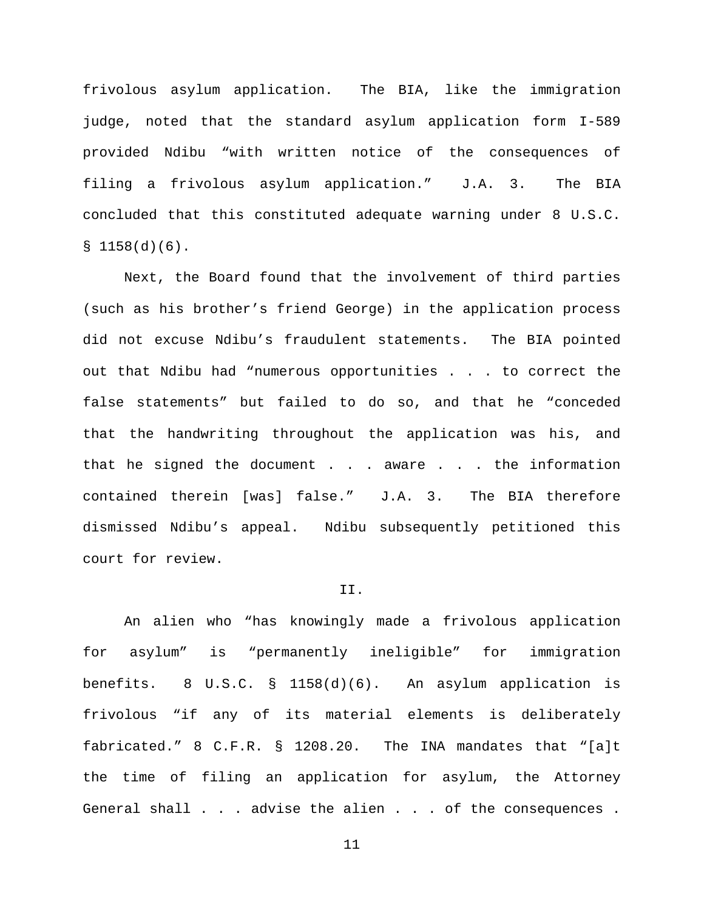frivolous asylum application. The BIA, like the immigration judge, noted that the standard asylum application form I-589 provided Ndibu "with written notice of the consequences of filing a frivolous asylum application." J.A. 3. The BIA concluded that this constituted adequate warning under 8 U.S.C.  $$1158(d)(6).$ 

Next, the Board found that the involvement of third parties (such as his brother's friend George) in the application process did not excuse Ndibu's fraudulent statements. The BIA pointed out that Ndibu had "numerous opportunities . . . to correct the false statements" but failed to do so, and that he "conceded that the handwriting throughout the application was his, and that he signed the document  $\ldots$  . aware  $\ldots$  . the information contained therein [was] false." J.A. 3. The BIA therefore dismissed Ndibu's appeal. Ndibu subsequently petitioned this court for review.

### II.

An alien who "has knowingly made a frivolous application for asylum" is "permanently ineligible" for immigration benefits. 8 U.S.C. § 1158(d)(6). An asylum application is frivolous "if any of its material elements is deliberately fabricated." 8 C.F.R. § 1208.20. The INA mandates that "[a]t the time of filing an application for asylum, the Attorney General shall . . . advise the alien . . . of the consequences .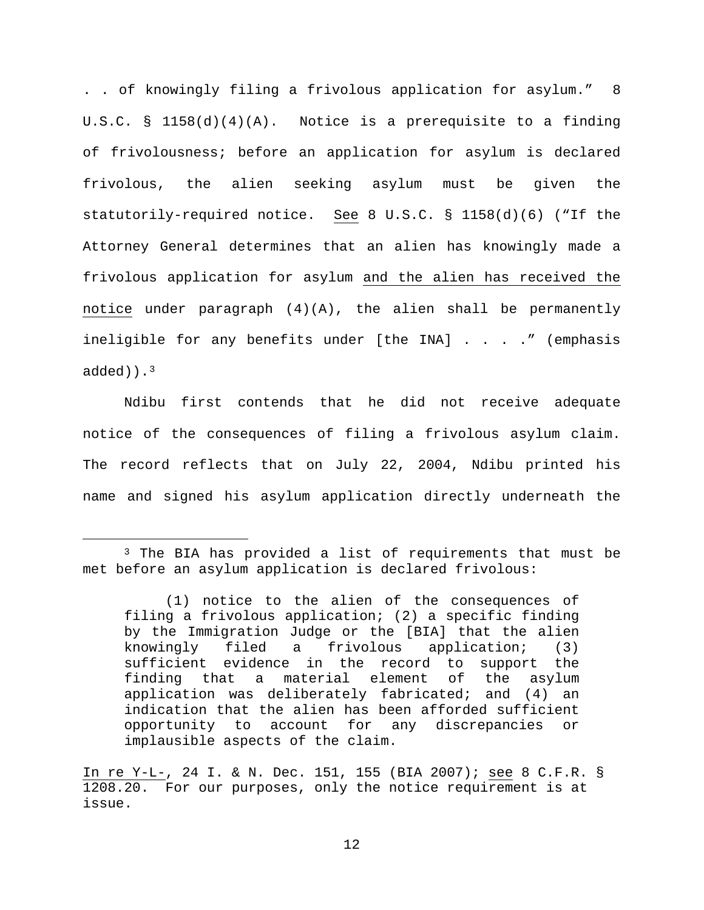. . of knowingly filing a frivolous application for asylum." 8 U.S.C. § 1158(d)(4)(A). Notice is a prerequisite to a finding of frivolousness; before an application for asylum is declared frivolous, the alien seeking asylum must be given the statutorily-required notice. See 8 U.S.C. § 1158(d)(6) ("If the Attorney General determines that an alien has knowingly made a frivolous application for asylum and the alien has received the notice under paragraph  $(4)(A)$ , the alien shall be permanently ineligible for any benefits under [the INA] . . . . " (emphasis  $added)$ .<sup>3</sup>

Ndibu first contends that he did not receive adequate notice of the consequences of filing a frivolous asylum claim. The record reflects that on July 22, 2004, Ndibu printed his name and signed his asylum application directly underneath the

<span id="page-11-0"></span><sup>&</sup>lt;sup>3</sup> The BIA has provided a list of requirements that must be met before an asylum application is declared frivolous:

<sup>(1)</sup> notice to the alien of the consequences of filing a frivolous application; (2) a specific finding by the Immigration Judge or the [BIA] that the alien<br>knowingly filed a frivolous application; (3) a frivolous application; (3) sufficient evidence in the record to support the finding that a material element of the asylum application was deliberately fabricated; and (4) an indication that the alien has been afforded sufficient opportunity to account for any discrepancies or implausible aspects of the claim.

In re Y-L-, 24 I. & N. Dec. 151, 155 (BIA 2007); see 8 C.F.R. § 1208.20. For our purposes, only the notice requirement is at issue.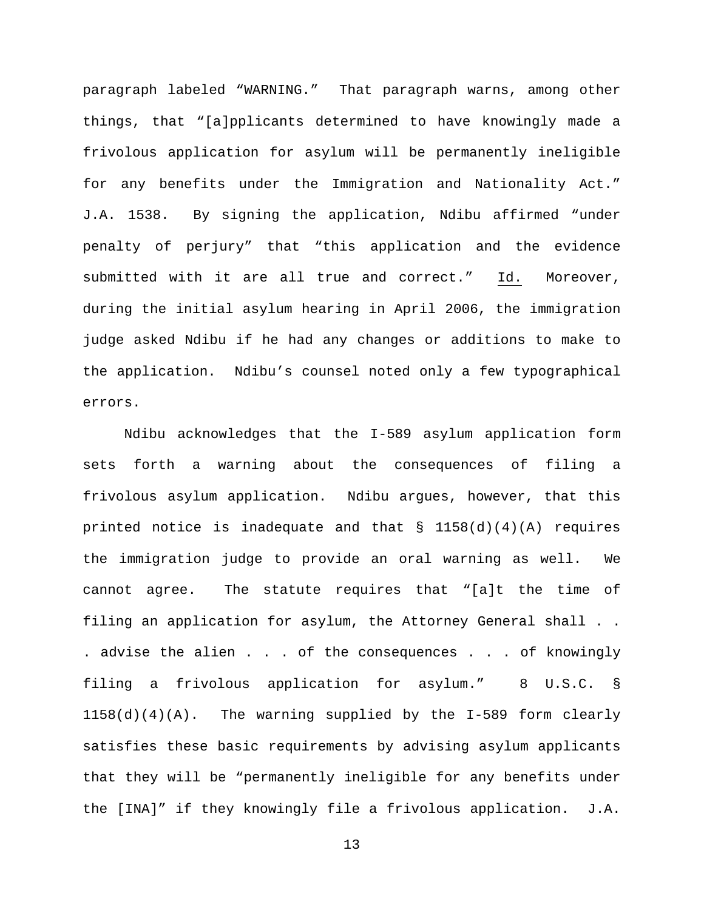paragraph labeled "WARNING." That paragraph warns, among other things, that "[a]pplicants determined to have knowingly made a frivolous application for asylum will be permanently ineligible for any benefits under the Immigration and Nationality Act." J.A. 1538. By signing the application, Ndibu affirmed "under penalty of perjury" that "this application and the evidence submitted with it are all true and correct." Id. Moreover, during the initial asylum hearing in April 2006, the immigration judge asked Ndibu if he had any changes or additions to make to the application. Ndibu's counsel noted only a few typographical errors.

Ndibu acknowledges that the I-589 asylum application form sets forth a warning about the consequences of filing a frivolous asylum application. Ndibu argues, however, that this printed notice is inadequate and that  $\S$  1158(d)(4)(A) requires the immigration judge to provide an oral warning as well. We cannot agree. The statute requires that "[a]t the time of filing an application for asylum, the Attorney General shall . . . advise the alien . . . of the consequences . . . of knowingly filing a frivolous application for asylum." 8 U.S.C. § 1158(d)(4)(A). The warning supplied by the I-589 form clearly satisfies these basic requirements by advising asylum applicants that they will be "permanently ineligible for any benefits under the [INA]" if they knowingly file a frivolous application. J.A.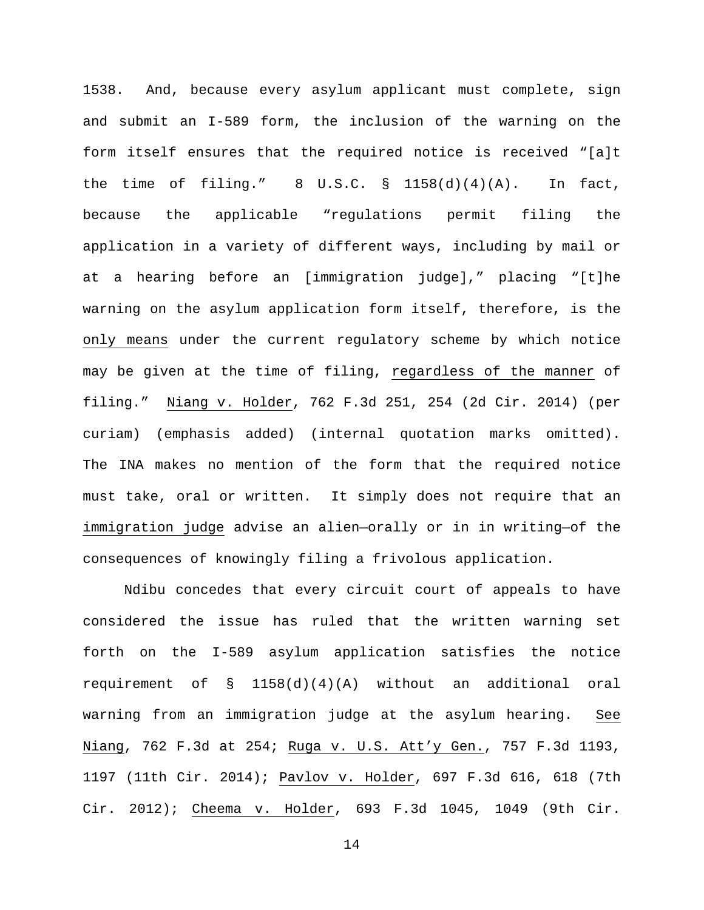1538. And, because every asylum applicant must complete, sign and submit an I-589 form, the inclusion of the warning on the form itself ensures that the required notice is received "[a]t the time of filing."  $8 \text{ U.S.C. } \text{S}$  1158(d)(4)(A). In fact, because the applicable "regulations permit filing the application in a variety of different ways, including by mail or at a hearing before an [immigration judge]," placing "[t]he warning on the asylum application form itself, therefore, is the only means under the current regulatory scheme by which notice may be given at the time of filing, regardless of the manner of filing." Niang v. Holder, 762 F.3d 251, 254 (2d Cir. 2014) (per curiam) (emphasis added) (internal quotation marks omitted). The INA makes no mention of the form that the required notice must take, oral or written. It simply does not require that an immigration judge advise an alien—orally or in in writing—of the consequences of knowingly filing a frivolous application.

Ndibu concedes that every circuit court of appeals to have considered the issue has ruled that the written warning set forth on the I-589 asylum application satisfies the notice requirement of § 1158(d)(4)(A) without an additional oral warning from an immigration judge at the asylum hearing. See Niang, 762 F.3d at 254; Ruga v. U.S. Att'y Gen., 757 F.3d 1193, 1197 (11th Cir. 2014); Pavlov v. Holder, 697 F.3d 616, 618 (7th Cir. 2012); Cheema v. Holder, 693 F.3d 1045, 1049 (9th Cir.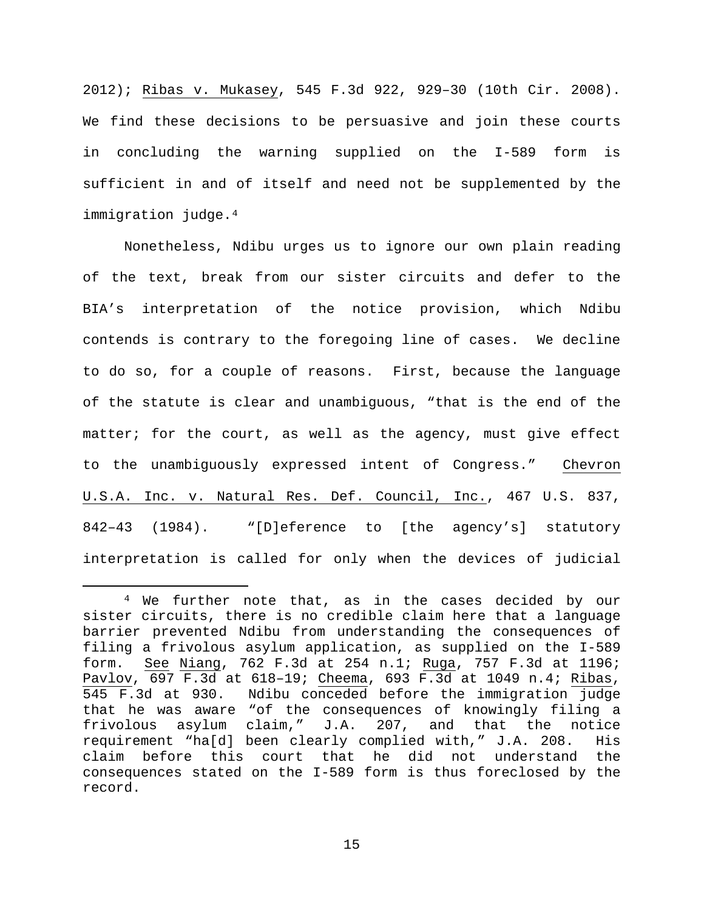2012); Ribas v. Mukasey, 545 F.3d 922, 929–30 (10th Cir. 2008). We find these decisions to be persuasive and join these courts in concluding the warning supplied on the I-589 form is sufficient in and of itself and need not be supplemented by the immigration judge.<sup>[4](#page-14-0)</sup>

Nonetheless, Ndibu urges us to ignore our own plain reading of the text, break from our sister circuits and defer to the BIA's interpretation of the notice provision, which Ndibu contends is contrary to the foregoing line of cases. We decline to do so, for a couple of reasons. First, because the language of the statute is clear and unambiguous, "that is the end of the matter; for the court, as well as the agency, must give effect to the unambiguously expressed intent of Congress." Chevron U.S.A. Inc. v. Natural Res. Def. Council, Inc., 467 U.S. 837, 842–43 (1984). "[D]eference to [the agency's] statutory interpretation is called for only when the devices of judicial

<span id="page-14-0"></span> <sup>4</sup> We further note that, as in the cases decided by our sister circuits, there is no credible claim here that a language barrier prevented Ndibu from understanding the consequences of filing a frivolous asylum application, as supplied on the I-589<br>form. See Niang, 762 F.3d at 254 n.1; Ruga, 757 F.3d at 1196; See Niang, 762 F.3d at 254 n.1; Ruga, 757 F.3d at 1196; Pavlov, 697 F.3d at 618–19; Cheema, 693 F.3d at 1049 n.4; Ribas, 545 F.3d at 930. Ndibu conceded before the immigration judge that he was aware "of the consequences of knowingly filing a frivolous asylum claim," J.A. 207, and that the notice requirement "ha[d] been clearly complied with," J.A. 208. His claim before this court that he did not understand the consequences stated on the I-589 form is thus foreclosed by the record.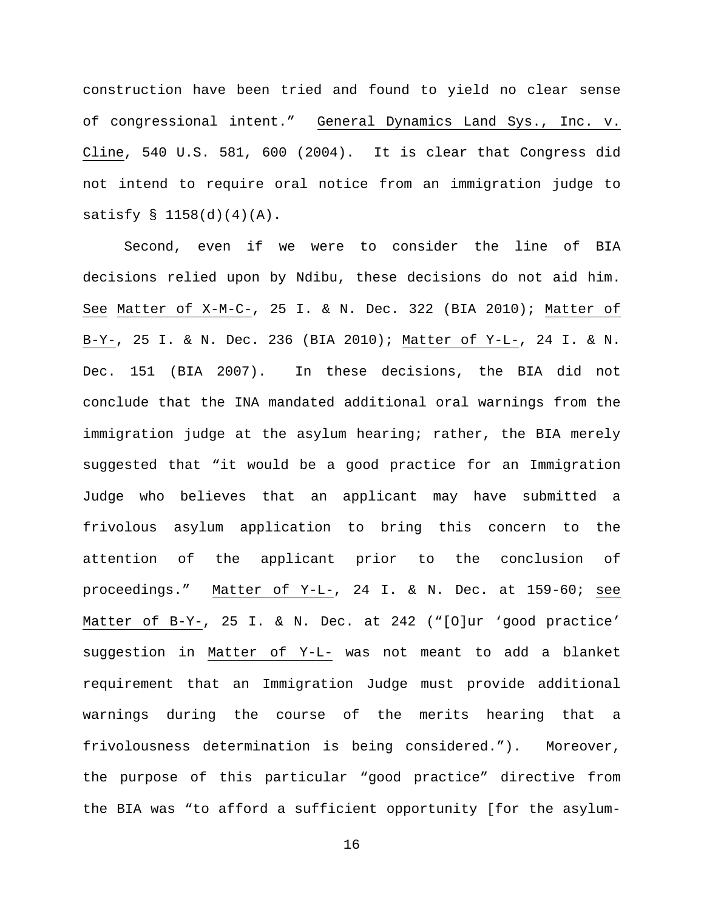construction have been tried and found to yield no clear sense of congressional intent." General Dynamics Land Sys., Inc. v. Cline, 540 U.S. 581, 600 (2004). It is clear that Congress did not intend to require oral notice from an immigration judge to satisfy  $\S$  1158(d)(4)(A).

Second, even if we were to consider the line of BIA decisions relied upon by Ndibu, these decisions do not aid him. See Matter of X-M-C-, 25 I. & N. Dec. 322 (BIA 2010); Matter of B-Y-, 25 I. & N. Dec. 236 (BIA 2010); Matter of Y-L-, 24 I. & N. Dec. 151 (BIA 2007). In these decisions, the BIA did not conclude that the INA mandated additional oral warnings from the immigration judge at the asylum hearing; rather, the BIA merely suggested that "it would be a good practice for an Immigration Judge who believes that an applicant may have submitted a frivolous asylum application to bring this concern to the attention of the applicant prior to the conclusion of proceedings." Matter of Y-L-, 24 I. & N. Dec. at 159-60; see Matter of B-Y-, 25 I. & N. Dec. at 242 ("[O]ur 'good practice' suggestion in Matter of Y-L- was not meant to add a blanket requirement that an Immigration Judge must provide additional warnings during the course of the merits hearing that a frivolousness determination is being considered."). Moreover, the purpose of this particular "good practice" directive from the BIA was "to afford a sufficient opportunity [for the asylum-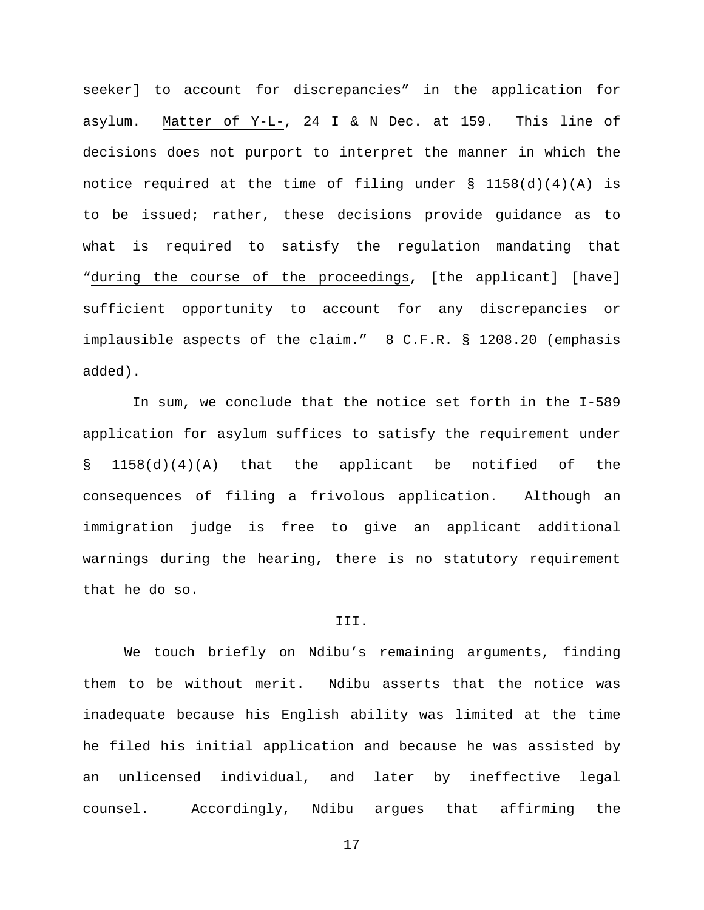seeker] to account for discrepancies" in the application for asylum. Matter of Y-L-, 24 I & N Dec. at 159. This line of decisions does not purport to interpret the manner in which the notice required at the time of filing under § 1158(d)(4)(A) is to be issued; rather, these decisions provide guidance as to what is required to satisfy the regulation mandating that "during the course of the proceedings, [the applicant] [have] sufficient opportunity to account for any discrepancies or implausible aspects of the claim." 8 C.F.R. § 1208.20 (emphasis added).

In sum, we conclude that the notice set forth in the I-589 application for asylum suffices to satisfy the requirement under § 1158(d)(4)(A) that the applicant be notified of the consequences of filing a frivolous application. Although an immigration judge is free to give an applicant additional warnings during the hearing, there is no statutory requirement that he do so.

#### III.

We touch briefly on Ndibu's remaining arguments, finding them to be without merit. Ndibu asserts that the notice was inadequate because his English ability was limited at the time he filed his initial application and because he was assisted by an unlicensed individual, and later by ineffective legal counsel. Accordingly, Ndibu argues that affirming the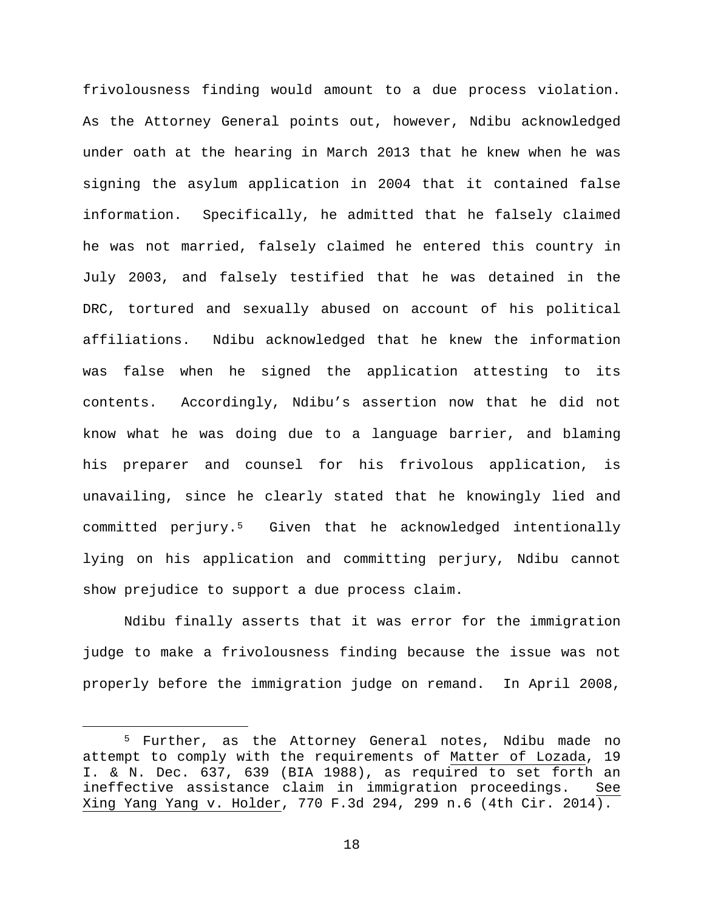frivolousness finding would amount to a due process violation. As the Attorney General points out, however, Ndibu acknowledged under oath at the hearing in March 2013 that he knew when he was signing the asylum application in 2004 that it contained false information. Specifically, he admitted that he falsely claimed he was not married, falsely claimed he entered this country in July 2003, and falsely testified that he was detained in the DRC, tortured and sexually abused on account of his political affiliations. Ndibu acknowledged that he knew the information was false when he signed the application attesting to its contents. Accordingly, Ndibu's assertion now that he did not know what he was doing due to a language barrier, and blaming his preparer and counsel for his frivolous application, is unavailing, since he clearly stated that he knowingly lied and committed perjury.[5](#page-17-0) Given that he acknowledged intentionally lying on his application and committing perjury, Ndibu cannot show prejudice to support a due process claim.

Ndibu finally asserts that it was error for the immigration judge to make a frivolousness finding because the issue was not properly before the immigration judge on remand. In April 2008,

<span id="page-17-0"></span> <sup>5</sup> Further, as the Attorney General notes, Ndibu made no attempt to comply with the requirements of Matter of Lozada, 19 I. & N. Dec. 637, 639 (BIA 1988), as required to set forth an ineffective assistance claim in immigration proceedings. See Xing Yang Yang v. Holder, 770 F.3d 294, 299 n.6 (4th Cir. 2014).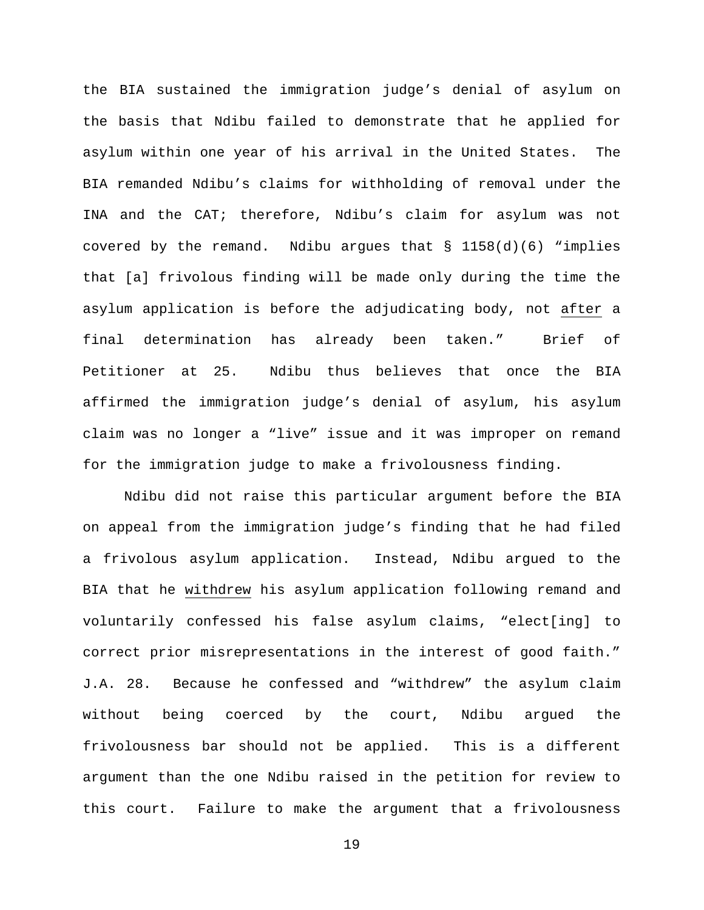the BIA sustained the immigration judge's denial of asylum on the basis that Ndibu failed to demonstrate that he applied for asylum within one year of his arrival in the United States. The BIA remanded Ndibu's claims for withholding of removal under the INA and the CAT; therefore, Ndibu's claim for asylum was not covered by the remand. Ndibu argues that  $\S$  1158(d)(6) "implies that [a] frivolous finding will be made only during the time the asylum application is before the adjudicating body, not after a final determination has already been taken." Brief of Petitioner at 25. Ndibu thus believes that once the BIA affirmed the immigration judge's denial of asylum, his asylum claim was no longer a "live" issue and it was improper on remand for the immigration judge to make a frivolousness finding.

Ndibu did not raise this particular argument before the BIA on appeal from the immigration judge's finding that he had filed a frivolous asylum application. Instead, Ndibu argued to the BIA that he withdrew his asylum application following remand and voluntarily confessed his false asylum claims, "elect[ing] to correct prior misrepresentations in the interest of good faith." J.A. 28. Because he confessed and "withdrew" the asylum claim without being coerced by the court, Ndibu argued the frivolousness bar should not be applied. This is a different argument than the one Ndibu raised in the petition for review to this court. Failure to make the argument that a frivolousness